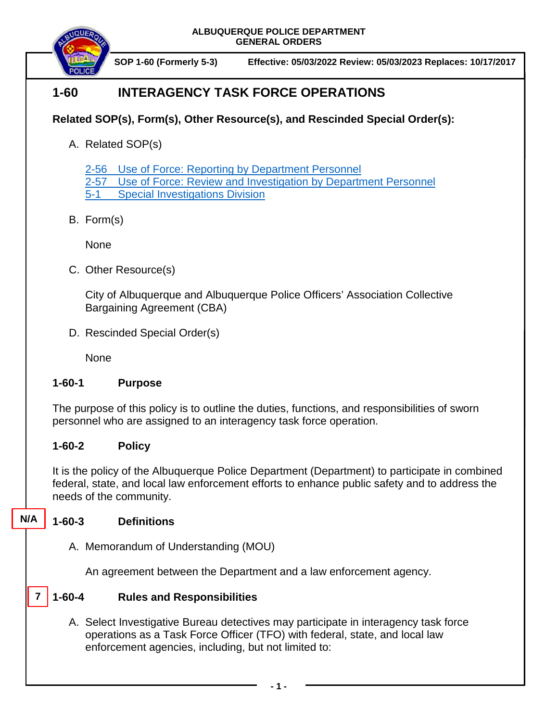**ALBUQUERQUE POLICE DEPARTMENT GENERAL ORDERS**



**SOP 1-60 (Formerly 5-3) Effective: 05/03/2022 Review: 05/03/2023 Replaces: 10/17/2017**

# **1-60 INTERAGENCY TASK FORCE OPERATIONS**

## **Related SOP(s), Form(s), Other Resource(s), and Rescinded Special Order(s):**

A. Related SOP(s)

2-56 [Use of Force: Reporting by Department Personnel](https://powerdms.com/docs/1897084?q=2-56)

2-57 [Use of Force: Review and Investigation by Department Personnel](https://powerdms.com/docs/1700599?q=true)

5-1 [Special Investigations Division](https://powerdms.com/docs/4?q=true)

B. Form(s)

None

C. Other Resource(s)

City of Albuquerque and Albuquerque Police Officers' Association Collective Bargaining Agreement (CBA)

D. Rescinded Special Order(s)

None

### **1-60-1 Purpose**

The purpose of this policy is to outline the duties, functions, and responsibilities of sworn personnel who are assigned to an interagency task force operation.

### **1-60-2 Policy**

It is the policy of the Albuquerque Police Department (Department) to participate in combined federal, state, and local law enforcement efforts to enhance public safety and to address the needs of the community.

- **1-60-3 Definitions N/A**
	- A. Memorandum of Understanding (MOU)

An agreement between the Department and a law enforcement agency.

#### **1-60-4 Rules and Responsibilities 7**

A. Select Investigative Bureau detectives may participate in interagency task force operations as a Task Force Officer (TFO) with federal, state, and local law enforcement agencies, including, but not limited to: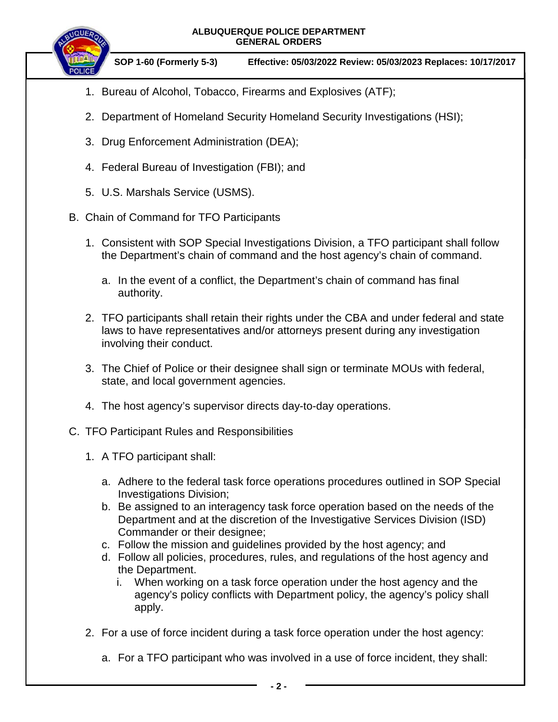